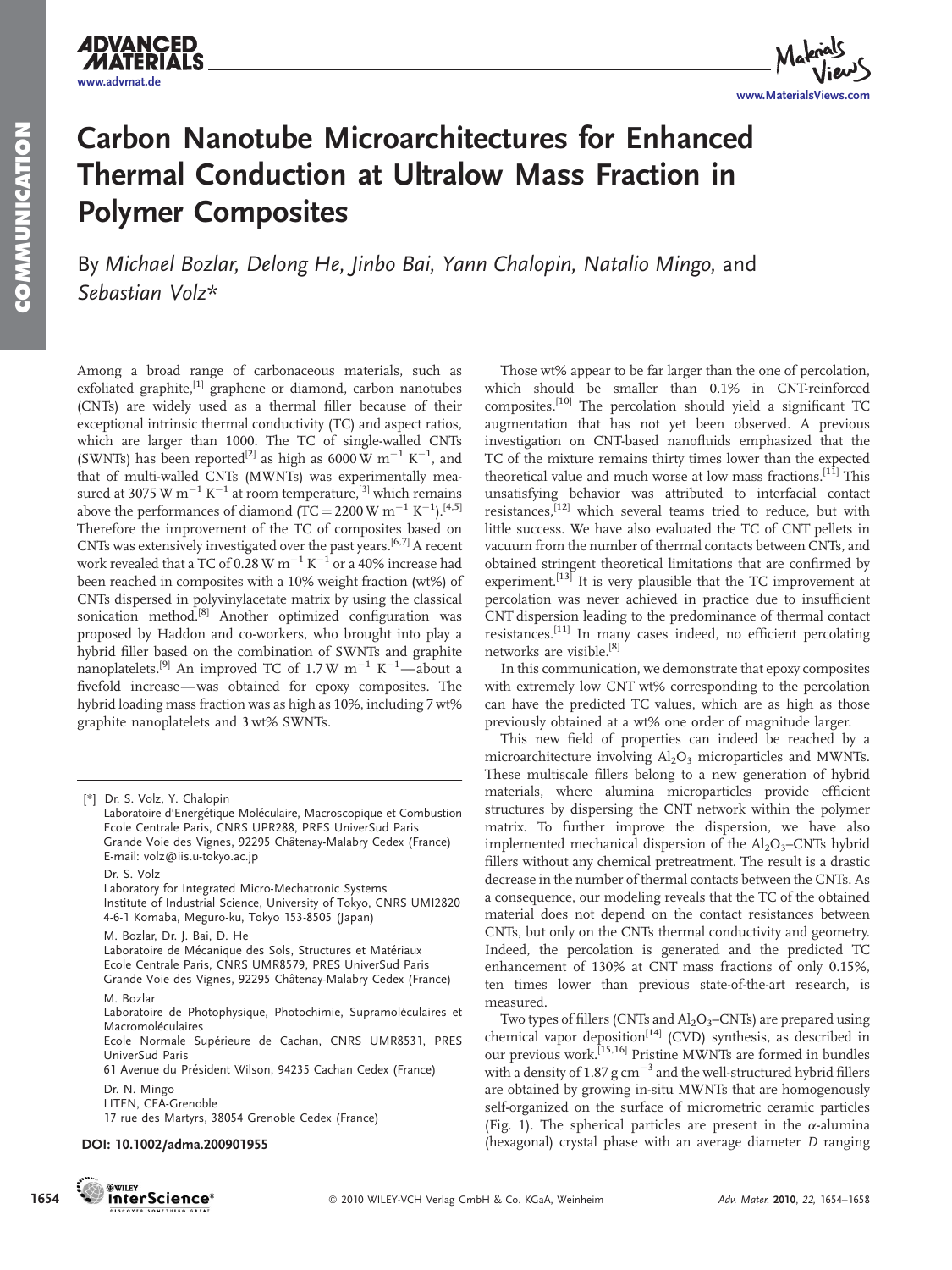**ADVANCED** 



## Carbon Nanotube Microarchitectures for Enhanced Thermal Conduction at Ultralow Mass Fraction in Polymer Composites

By Michael Bozlar, Delong He, Jinbo Bai, Yann Chalopin, Natalio Mingo, and Sebastian Volz\*

Among a broad range of carbonaceous materials, such as exfoliated graphite, $\left[1\right]$  graphene or diamond, carbon nanotubes (CNTs) are widely used as a thermal filler because of their exceptional intrinsic thermal conductivity (TC) and aspect ratios, which are larger than 1000. The TC of single-walled CNTs (SWNTs) has been reported<sup>[2]</sup> as high as 6000 W  $m^{-1}$  K<sup>-1</sup>, and that of multi-walled CNTs (MWNTs) was experimentally measured at 3075 W  $m^{-1}$  K<sup>-1</sup> at room temperature,<sup>[3]</sup> which remains above the performances of diamond (TC = 2200 W  $\text{m}^{-1}$  K<sup>-1</sup>).<sup>[4,5]</sup> Therefore the improvement of the TC of composites based on CNTs was extensively investigated over the past years.[6,7] A recent work revealed that a TC of 0.28 W  $\text{m}^{-1}$  K<sup>-1</sup> or a 40% increase had been reached in composites with a 10% weight fraction (wt%) of CNTs dispersed in polyvinylacetate matrix by using the classical sonication method.<sup>[8]</sup> Another optimized configuration was proposed by Haddon and co-workers, who brought into play a hybrid filler based on the combination of SWNTs and graphite nanoplatelets.<sup>[9]</sup> An improved TC of 1.7 W  $m^{-1}$  K<sup>-1</sup>-about a fivefold increase—was obtained for epoxy composites. The hybrid loading mass fraction was as high as 10%, including 7 wt% graphite nanoplatelets and 3 wt% SWNTs.

Ecole Normale Supérieure de Cachan, CNRS UMR8531, PRES UniverSud Paris

61 Avenue du Président Wilson, 94235 Cachan Cedex (France)

17 rue des Martyrs, 38054 Grenoble Cedex (France)

## DOI: 10.1002/adma.200901955



Those wt% appear to be far larger than the one of percolation, which should be smaller than 0.1% in CNT-reinforced composites.[10] The percolation should yield a significant TC augmentation that has not yet been observed. A previous investigation on CNT-based nanofluids emphasized that the TC of the mixture remains thirty times lower than the expected theoretical value and much worse at low mass fractions.<sup>[11]</sup> This unsatisfying behavior was attributed to interfacial contact resistances,<sup>[12]</sup> which several teams tried to reduce, but with little success. We have also evaluated the TC of CNT pellets in vacuum from the number of thermal contacts between CNTs, and obtained stringent theoretical limitations that are confirmed by experiment.<sup>[13]</sup> It is very plausible that the TC improvement at percolation was never achieved in practice due to insufficient CNT dispersion leading to the predominance of thermal contact resistances.[11] In many cases indeed, no efficient percolating networks are visible.[8]

In this communication, we demonstrate that epoxy composites with extremely low CNT wt% corresponding to the percolation can have the predicted TC values, which are as high as those previously obtained at a wt% one order of magnitude larger.

This new field of properties can indeed be reached by a microarchitecture involving  $Al<sub>2</sub>O<sub>3</sub>$  microparticles and MWNTs. These multiscale fillers belong to a new generation of hybrid materials, where alumina microparticles provide efficient structures by dispersing the CNT network within the polymer matrix. To further improve the dispersion, we have also implemented mechanical dispersion of the  $Al_2O_3$ –CNTs hybrid fillers without any chemical pretreatment. The result is a drastic decrease in the number of thermal contacts between the CNTs. As a consequence, our modeling reveals that the TC of the obtained material does not depend on the contact resistances between CNTs, but only on the CNTs thermal conductivity and geometry. Indeed, the percolation is generated and the predicted TC enhancement of 130% at CNT mass fractions of only 0.15%, ten times lower than previous state-of-the-art research, is measured.

Two types of fillers (CNTs and  $\text{Al}_2\text{O}_3$ –CNTs) are prepared using chemical vapor deposition<sup>[14]</sup> (CVD) synthesis, as described in our previous work.<sup>[15,16]</sup> Pristine MWNTs are formed in bundles with a density of 1.87 g  $cm^{-3}$  and the well-structured hybrid fillers are obtained by growing in-situ MWNTs that are homogenously self-organized on the surface of micrometric ceramic particles (Fig. 1). The spherical particles are present in the  $\alpha$ -alumina (hexagonal) crystal phase with an average diameter D ranging

<sup>[</sup>\*] Dr. S. Volz, Y. Chalopin

Laboratoire d'Energétique Moléculaire, Macroscopique et Combustion Ecole Centrale Paris, CNRS UPR288, PRES UniverSud Paris Grande Voie des Vignes, 92295 Châtenay-Malabry Cedex (France) E-mail: volz@iis.u-tokyo.ac.jp Dr. S. Volz Laboratory for Integrated Micro-Mechatronic Systems Institute of Industrial Science, University of Tokyo, CNRS UMI2820

<sup>4-6-1</sup> Komaba, Meguro-ku, Tokyo 153-8505 (Japan)

M. Bozlar, Dr. J. Bai, D. He Laboratoire de Mécanique des Sols, Structures et Matériaux Ecole Centrale Paris, CNRS UMR8579, PRES UniverSud Paris Grande Voie des Vignes, 92295 Châtenay-Malabry Cedex (France) M. Bozlar

Laboratoire de Photophysique, Photochimie, Supramoléculaires et Macromoléculaires

Dr. N. Mingo

LITEN, CEA-Grenoble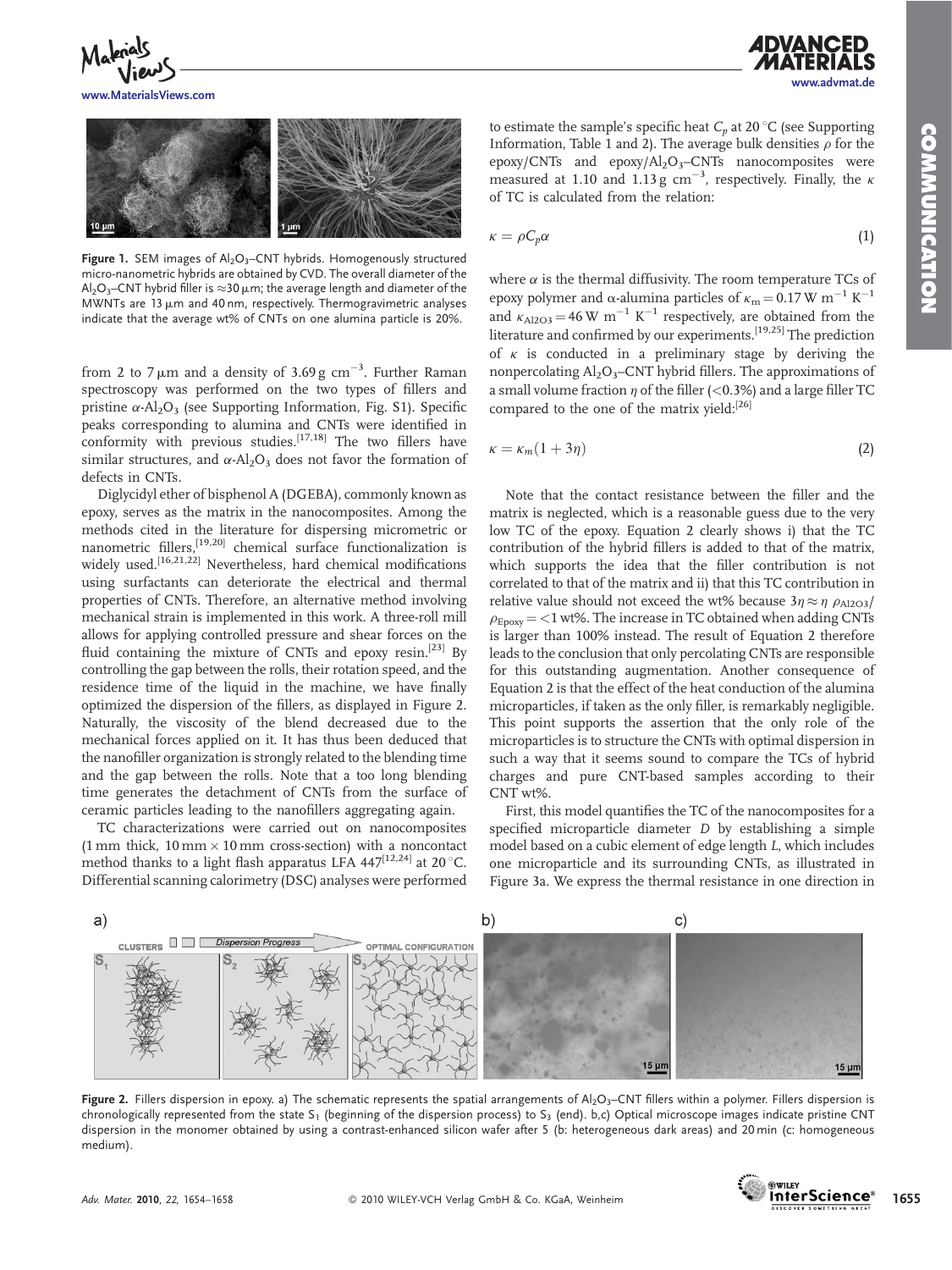www.advmat.de



www.MaterialsViews.com



Figure 1. SEM images of  $Al_2O_3$ –CNT hybrids. Homogenously structured micro-nanometric hybrids are obtained by CVD. The overall diameter of the Al<sub>2</sub>O<sub>3</sub>–CNT hybrid filler is  $\approx$ 30 µm; the average length and diameter of the MWNTs are  $13 \mu$ m and 40 nm, respectively. Thermogravimetric analyses indicate that the average wt% of CNTs on one alumina particle is 20%.

from 2 to 7  $\mu$ m and a density of 3.69 g cm $^{-3}$ . Further Raman spectroscopy was performed on the two types of fillers and pristine  $\alpha$ -Al<sub>2</sub>O<sub>3</sub> (see Supporting Information, Fig. S1). Specific peaks corresponding to alumina and CNTs were identified in conformity with previous studies.<sup>[17,18]</sup> The two fillers have similar structures, and  $\alpha$ -Al<sub>2</sub>O<sub>3</sub> does not favor the formation of defects in CNTs.

Diglycidyl ether of bisphenol A (DGEBA), commonly known as epoxy, serves as the matrix in the nanocomposites. Among the methods cited in the literature for dispersing micrometric or nanometric fillers,<sup>[19,20]</sup> chemical surface functionalization is widely used.<sup>[16,21,22]</sup> Nevertheless, hard chemical modifications using surfactants can deteriorate the electrical and thermal properties of CNTs. Therefore, an alternative method involving mechanical strain is implemented in this work. A three-roll mill allows for applying controlled pressure and shear forces on the fluid containing the mixture of CNTs and epoxy resin.<sup>[23]</sup> By controlling the gap between the rolls, their rotation speed, and the residence time of the liquid in the machine, we have finally optimized the dispersion of the fillers, as displayed in Figure 2. Naturally, the viscosity of the blend decreased due to the mechanical forces applied on it. It has thus been deduced that the nanofiller organization is strongly related to the blending time and the gap between the rolls. Note that a too long blending time generates the detachment of CNTs from the surface of ceramic particles leading to the nanofillers aggregating again.

TC characterizations were carried out on nanocomposites  $(1 \text{ mm thick}, 10 \text{ mm} \times 10 \text{ mm cross-section})$  with a noncontact method thanks to a light flash apparatus LFA 447 $^{[12,24]}$  at 20 °C. Differential scanning calorimetry (DSC) analyses were performed to estimate the sample's specific heat  $C_p$  at 20 °C (see Supporting Information, Table 1 and 2). The average bulk densities  $\rho$  for the epoxy/CNTs and epoxy/Al2O3–CNTs nanocomposites were measured at 1.10 and 1.13 g  $cm^{-3}$ , respectively. Finally, the  $\kappa$ of TC is calculated from the relation:

$$
\kappa = \rho C_p \alpha \tag{1}
$$

where  $\alpha$  is the thermal diffusivity. The room temperature TCs of epoxy polymer and  $\alpha$ -alumina particles of  $\kappa_m = 0.17$  W m<sup>-1</sup> K<sup>-1</sup> and  $k_{\text{Al2O3}} = 46 \text{ W m}^{-1} \text{ K}^{-1}$  respectively, are obtained from the literature and confirmed by our experiments.[19,25] The prediction of  $\kappa$  is conducted in a preliminary stage by deriving the nonpercolating  $Al_2O_3$ –CNT hybrid fillers. The approximations of a small volume fraction  $\eta$  of the filler (<0.3%) and a large filler TC compared to the one of the matrix yield:<sup>[26]</sup>

$$
\kappa = \kappa_m (1 + 3\eta) \tag{2}
$$

Note that the contact resistance between the filler and the matrix is neglected, which is a reasonable guess due to the very low TC of the epoxy. Equation 2 clearly shows i) that the TC contribution of the hybrid fillers is added to that of the matrix, which supports the idea that the filler contribution is not correlated to that of the matrix and ii) that this TC contribution in relative value should not exceed the wt% because  $3\eta \approx \eta \rho_{A12O3}/$  $\rho_{\text{Fnow}} = 1$  wt%. The increase in TC obtained when adding CNTs is larger than 100% instead. The result of Equation 2 therefore leads to the conclusion that only percolating CNTs are responsible for this outstanding augmentation. Another consequence of Equation 2 is that the effect of the heat conduction of the alumina microparticles, if taken as the only filler, is remarkably negligible. This point supports the assertion that the only role of the microparticles is to structure the CNTs with optimal dispersion in such a way that it seems sound to compare the TCs of hybrid charges and pure CNT-based samples according to their CNT wt%.

First, this model quantifies the TC of the nanocomposites for a specified microparticle diameter D by establishing a simple model based on a cubic element of edge length L, which includes one microparticle and its surrounding CNTs, as illustrated in Figure 3a. We express the thermal resistance in one direction in



Figure 2. Fillers dispersion in epoxy. a) The schematic represents the spatial arrangements of  $A_2O_3$ –CNT fillers within a polymer. Fillers dispersion is chronologically represented from the state  $S_1$  (beginning of the dispersion process) to  $S_3$  (end). b,c) Optical microscope images indicate pristine CNT dispersion in the monomer obtained by using a contrast-enhanced silicon wafer after 5 (b: heterogeneous dark areas) and 20 min (c: homogeneous medium).

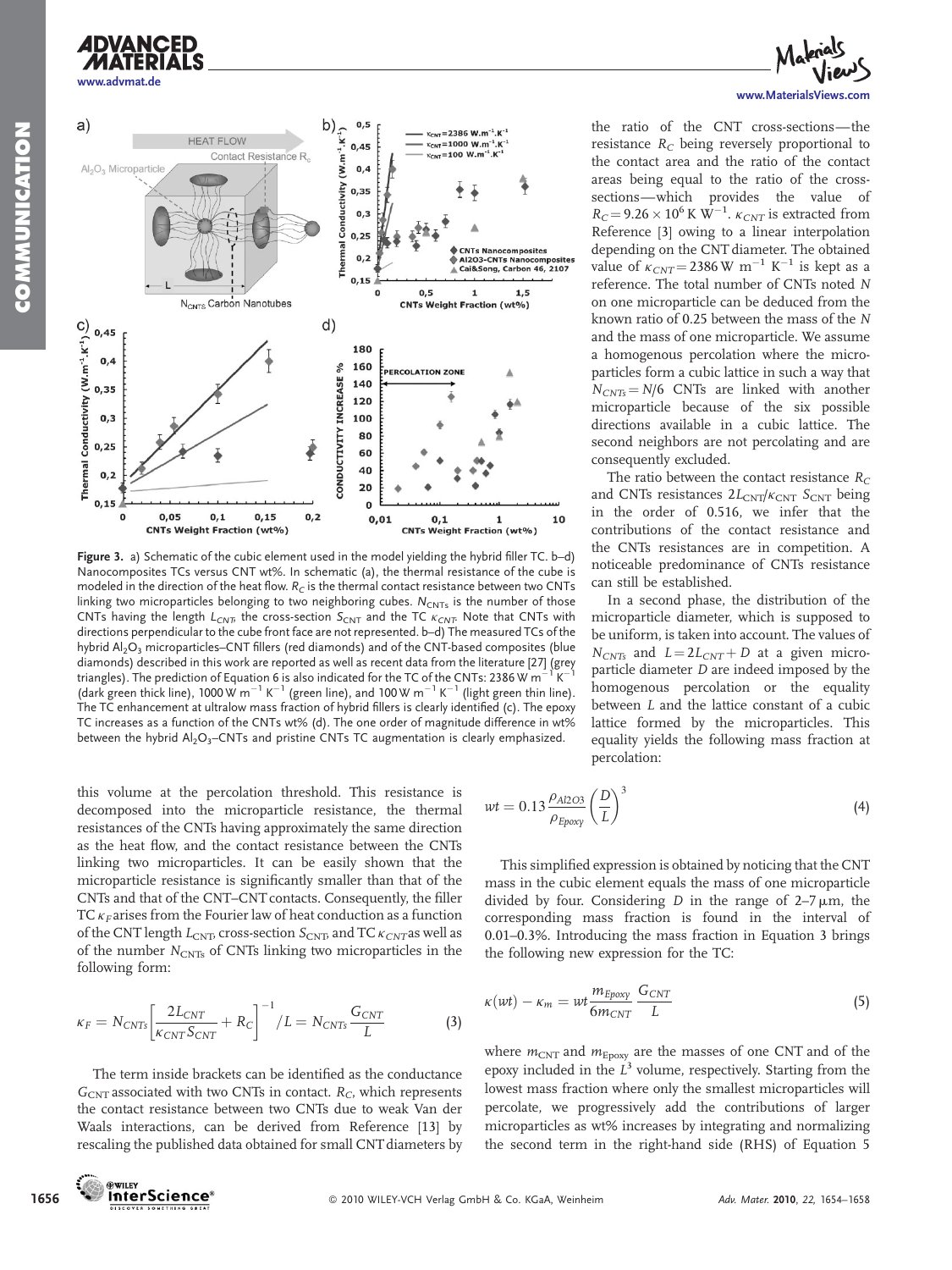



Figure 3. a) Schematic of the cubic element used in the model yielding the hybrid filler TC. b-d) Nanocomposites TCs versus CNT wt%. In schematic (a), the thermal resistance of the cube is modeled in the direction of the heat flow.  $R_C$  is the thermal contact resistance between two CNTs linking two microparticles belonging to two neighboring cubes.  $N_{CNTs}$  is the number of those CNTs having the length  $L_{CNT}$ , the cross-section  $S_{CNT}$  and the TC  $K_{CNT}$ . Note that CNTs with directions perpendicular to the cube front face are not represented. b–d) The measured TCs of the hybrid  $Al_2O_3$  microparticles–CNT fillers (red diamonds) and of the CNT-based composites (blue diamonds) described in this work are reported as well as recent data from the literature [27] (grey triangles). The prediction of Equation 6 is also indicated for the TC of the CNTs: 2386 W m<sup>-</sup> (dark green thick line), 1000 W  $m^{-1}$  K<sup>-1</sup> (green line), and 100 W  $m^{-1}$  K<sup>-1</sup> (light green thin line). The TC enhancement at ultralow mass fraction of hybrid fillers is clearly identified (c). The epoxy TC increases as a function of the CNTs wt% (d). The one order of magnitude difference in wt% between the hybrid  $Al_2O_3$ -CNTs and pristine CNTs TC augmentation is clearly emphasized.

this volume at the percolation threshold. This resistance is decomposed into the microparticle resistance, the thermal resistances of the CNTs having approximately the same direction as the heat flow, and the contact resistance between the CNTs linking two microparticles. It can be easily shown that the microparticle resistance is significantly smaller than that of the CNTs and that of the CNT–CNT contacts. Consequently, the filler TC  $\kappa_F$  arises from the Fourier law of heat conduction as a function of the CNT length  $L_{\text{CNT}}$ , cross-section  $S_{\text{CNT}}$  and TC  $\kappa_{CNT}$  as well as of the number  $N_{\text{CNTs}}$  of CNTs linking two microparticles in the following form:

$$
\kappa_F = N_{CNTS} \left[ \frac{2L_{CNT}}{\kappa_{CNTS_{CNT}} + R_C} \right]^{-1} / L = N_{CNTS} \frac{G_{CNT}}{L}
$$
 (3)

The term inside brackets can be identified as the conductance  $G_{\text{CNT}}$  associated with two CNTs in contact.  $R_C$ , which represents the contact resistance between two CNTs due to weak Van der Waals interactions, can be derived from Reference [13] by rescaling the published data obtained for small CNT diameters by



the ratio of the CNT cross-sections—the resistance  $R_C$  being reversely proportional to the contact area and the ratio of the contact areas being equal to the ratio of the crosssections—which provides the value of  $R_C = 9.26 \times 10^6$  K W<sup>-1</sup>.  $\kappa_{CNT}$  is extracted from Reference [3] owing to a linear interpolation depending on the CNT diameter. The obtained value of  $\kappa_{CNT} = 2386 \text{ W m}^{-1} \text{ K}^{-1}$  is kept as a reference. The total number of CNTs noted N on one microparticle can be deduced from the known ratio of 0.25 between the mass of the N and the mass of one microparticle. We assume a homogenous percolation where the microparticles form a cubic lattice in such a way that  $N_{CNTs} = N/6$  CNTs are linked with another microparticle because of the six possible directions available in a cubic lattice. The second neighbors are not percolating and are consequently excluded.

The ratio between the contact resistance  $R_C$ and CNTs resistances  $2L_{\text{CNT}}/\kappa_{\text{CNT}}$  S<sub>CNT</sub> being in the order of 0.516, we infer that the contributions of the contact resistance and the CNTs resistances are in competition. A noticeable predominance of CNTs resistance can still be established.

In a second phase, the distribution of the microparticle diameter, which is supposed to be uniform, is taken into account. The values of  $N_{CNTs}$  and  $L = 2L_{CNT} + D$  at a given microparticle diameter D are indeed imposed by the homogenous percolation or the equality between L and the lattice constant of a cubic lattice formed by the microparticles. This equality yields the following mass fraction at percolation:

$$
wt = 0.13 \frac{\rho_{A/2O3}}{\rho_{Epoxy}} \left(\frac{D}{L}\right)^3 \tag{4}
$$

This simplified expression is obtained by noticing that the CNT mass in the cubic element equals the mass of one microparticle divided by four. Considering  $D$  in the range of  $2-7 \mu m$ , the corresponding mass fraction is found in the interval of 0.01–0.3%. Introducing the mass fraction in Equation 3 brings the following new expression for the TC:

$$
\kappa(wt) - \kappa_m = wt \frac{m_{Epoxy}}{6m_{CNT}} \frac{G_{CNT}}{L}
$$
 (5)

where  $m_{\text{CNT}}$  and  $m_{\text{Epoxy}}$  are the masses of one CNT and of the epoxy included in the  $L^3$  volume, respectively. Starting from the lowest mass fraction where only the smallest microparticles will percolate, we progressively add the contributions of larger microparticles as wt% increases by integrating and normalizing the second term in the right-hand side (RHS) of Equation 5

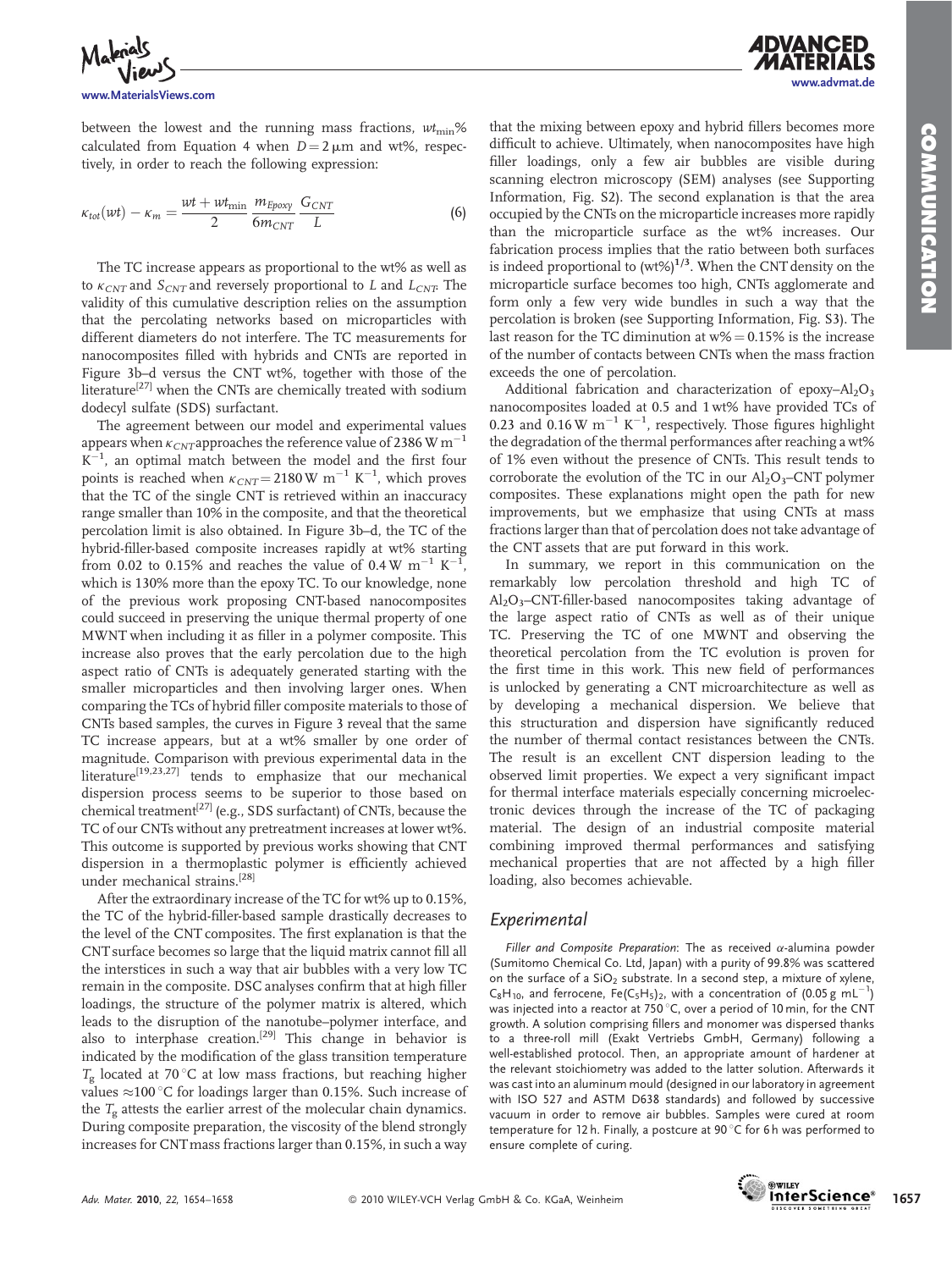www.advmat.de

*ADVANCED* 



between the lowest and the running mass fractions,  $wt_{\text{min}}$ % calculated from Equation 4 when  $D = 2 \mu m$  and wt%, respectively, in order to reach the following expression:

$$
\kappa_{tot}(wt) - \kappa_m = \frac{wt + wt_{\min}}{2} \frac{m_{Epoxy}}{6m_{CNT}} \frac{G_{CNT}}{L}
$$
 (6)

The TC increase appears as proportional to the wt% as well as to  $\kappa_{CNT}$  and  $S_{CNT}$  and reversely proportional to L and  $L_{CNT}$ . The validity of this cumulative description relies on the assumption that the percolating networks based on microparticles with different diameters do not interfere. The TC measurements for nanocomposites filled with hybrids and CNTs are reported in Figure 3b–d versus the CNT wt%, together with those of the literature<sup>[27]</sup> when the CNTs are chemically treated with sodium dodecyl sulfate (SDS) surfactant.

The agreement between our model and experimental values appears when  $\kappa_{CNT}$ approaches the reference value of 2386 W m<sup>-1</sup>  $K^{-1}$ , an optimal match between the model and the first four points is reached when  $\kappa_{CNT} = 2180 \,\mathrm{W} \,\mathrm{m}^{-1} \,\mathrm{K}^{-1}$ , which proves that the TC of the single CNT is retrieved within an inaccuracy range smaller than 10% in the composite, and that the theoretical percolation limit is also obtained. In Figure 3b–d, the TC of the hybrid-filler-based composite increases rapidly at wt% starting from 0.02 to 0.15% and reaches the value of 0.4 W  $\text{m}^{-1}$  K<sup>-1</sup> , which is 130% more than the epoxy TC. To our knowledge, none of the previous work proposing CNT-based nanocomposites could succeed in preserving the unique thermal property of one MWNT when including it as filler in a polymer composite. This increase also proves that the early percolation due to the high aspect ratio of CNTs is adequately generated starting with the smaller microparticles and then involving larger ones. When comparing the TCs of hybrid filler composite materials to those of CNTs based samples, the curves in Figure 3 reveal that the same TC increase appears, but at a wt% smaller by one order of magnitude. Comparison with previous experimental data in the literature<sup>[19,23,27]</sup> tends to emphasize that our mechanical dispersion process seems to be superior to those based on chemical treatment<sup>[27]</sup> (e.g., SDS surfactant) of CNTs, because the TC of our CNTs without any pretreatment increases at lower wt%. This outcome is supported by previous works showing that CNT dispersion in a thermoplastic polymer is efficiently achieved under mechanical strains.[28]

After the extraordinary increase of the TC for wt% up to 0.15%, the TC of the hybrid-filler-based sample drastically decreases to the level of the CNT composites. The first explanation is that the CNT surface becomes so large that the liquid matrix cannot fill all the interstices in such a way that air bubbles with a very low TC remain in the composite. DSC analyses confirm that at high filler loadings, the structure of the polymer matrix is altered, which leads to the disruption of the nanotube–polymer interface, and also to interphase creation.<sup>[29]</sup> This change in behavior is indicated by the modification of the glass transition temperature  $T_{\sigma}$  located at 70 °C at low mass fractions, but reaching higher values  $\approx$ 100 °C for loadings larger than 0.15%. Such increase of the  $T<sub>g</sub>$  attests the earlier arrest of the molecular chain dynamics. During composite preparation, the viscosity of the blend strongly increases for CNTmass fractions larger than 0.15%, in such a way that the mixing between epoxy and hybrid fillers becomes more difficult to achieve. Ultimately, when nanocomposites have high filler loadings, only a few air bubbles are visible during scanning electron microscopy (SEM) analyses (see Supporting Information, Fig. S2). The second explanation is that the area occupied by the CNTs on the microparticle increases more rapidly than the microparticle surface as the wt% increases. Our fabrication process implies that the ratio between both surfaces is indeed proportional to  $(wt\%)^{1/3}$ . When the CNT density on the microparticle surface becomes too high, CNTs agglomerate and form only a few very wide bundles in such a way that the percolation is broken (see Supporting Information, Fig. S3). The last reason for the TC diminution at  $w\% = 0.15\%$  is the increase of the number of contacts between CNTs when the mass fraction exceeds the one of percolation.

Additional fabrication and characterization of epoxy-Al<sub>2</sub>O<sub>3</sub> nanocomposites loaded at 0.5 and 1 wt% have provided TCs of 0.23 and  $0.16$  W  $m^{-1}$  K<sup>-1</sup>, respectively. Those figures highlight the degradation of the thermal performances after reaching a wt% of 1% even without the presence of CNTs. This result tends to corroborate the evolution of the TC in our  $Al_2O_3$ –CNT polymer composites. These explanations might open the path for new improvements, but we emphasize that using CNTs at mass fractions larger than that of percolation does not take advantage of the CNT assets that are put forward in this work.

In summary, we report in this communication on the remarkably low percolation threshold and high TC of Al2O3–CNT-filler-based nanocomposites taking advantage of the large aspect ratio of CNTs as well as of their unique TC. Preserving the TC of one MWNT and observing the theoretical percolation from the TC evolution is proven for the first time in this work. This new field of performances is unlocked by generating a CNT microarchitecture as well as by developing a mechanical dispersion. We believe that this structuration and dispersion have significantly reduced the number of thermal contact resistances between the CNTs. The result is an excellent CNT dispersion leading to the observed limit properties. We expect a very significant impact for thermal interface materials especially concerning microelectronic devices through the increase of the TC of packaging material. The design of an industrial composite material combining improved thermal performances and satisfying mechanical properties that are not affected by a high filler loading, also becomes achievable.

## Experimental

Filler and Composite Preparation: The as received  $\alpha$ -alumina powder (Sumitomo Chemical Co. Ltd, Japan) with a purity of 99.8% was scattered on the surface of a  $SiO<sub>2</sub>$  substrate. In a second step, a mixture of xylene,  $C_8H_{10}$ , and ferrocene, Fe(C<sub>5</sub>H<sub>5</sub>)<sub>2</sub>, with a concentration of (0.05 g mL<sup>-1</sup>) was injected into a reactor at  $750^{\circ}$ C, over a period of 10 min, for the CNT growth. A solution comprising fillers and monomer was dispersed thanks to a three-roll mill (Exakt Vertriebs GmbH, Germany) following a well-established protocol. Then, an appropriate amount of hardener at the relevant stoichiometry was added to the latter solution. Afterwards it was cast into an aluminum mould (designed in our laboratory in agreement with ISO 527 and ASTM D638 standards) and followed by successive vacuum in order to remove air bubbles. Samples were cured at room temperature for 12 h. Finally, a postcure at 90 $\degree$ C for 6 h was performed to ensure complete of curing.